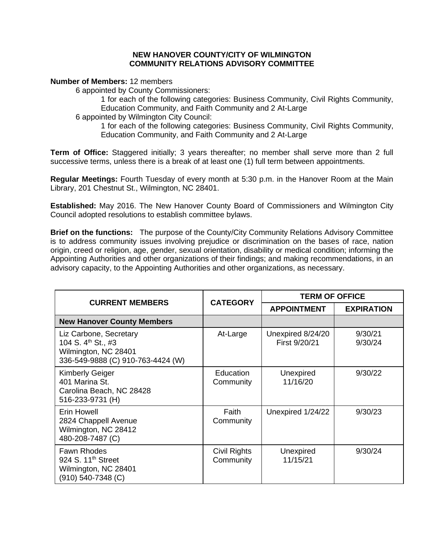## **NEW HANOVER COUNTY/CITY OF WILMINGTON COMMUNITY RELATIONS ADVISORY COMMITTEE**

**Number of Members:** 12 members

6 appointed by County Commissioners:

1 for each of the following categories: Business Community, Civil Rights Community, Education Community, and Faith Community and 2 At-Large

6 appointed by Wilmington City Council:

1 for each of the following categories: Business Community, Civil Rights Community, Education Community, and Faith Community and 2 At-Large

**Term of Office:** Staggered initially; 3 years thereafter; no member shall serve more than 2 full successive terms, unless there is a break of at least one (1) full term between appointments.

**Regular Meetings:** Fourth Tuesday of every month at 5:30 p.m. in the Hanover Room at the Main Library, 201 Chestnut St., Wilmington, NC 28401.

**Established:** May 2016. The New Hanover County Board of Commissioners and Wilmington City Council adopted resolutions to establish committee bylaws.

**Brief on the functions:** The purpose of the County/City Community Relations Advisory Committee is to address community issues involving prejudice or discrimination on the bases of race, nation origin, creed or religion, age, gender, sexual orientation, disability or medical condition; informing the Appointing Authorities and other organizations of their findings; and making recommendations, in an advisory capacity, to the Appointing Authorities and other organizations, as necessary.

| <b>CURRENT MEMBERS</b>                                                                                                | <b>CATEGORY</b>           | <b>TERM OF OFFICE</b>              |                    |
|-----------------------------------------------------------------------------------------------------------------------|---------------------------|------------------------------------|--------------------|
|                                                                                                                       |                           | <b>APPOINTMENT</b>                 | <b>EXPIRATION</b>  |
| <b>New Hanover County Members</b>                                                                                     |                           |                                    |                    |
| Liz Carbone, Secretary<br>104 S. 4 <sup>th</sup> St., #3<br>Wilmington, NC 28401<br>336-549-9888 (C) 910-763-4424 (W) | At-Large                  | Unexpired 8/24/20<br>First 9/20/21 | 9/30/21<br>9/30/24 |
| <b>Kimberly Geiger</b><br>401 Marina St.<br>Carolina Beach, NC 28428<br>516-233-9731 (H)                              | Education<br>Community    | Unexpired<br>11/16/20              | 9/30/22            |
| Erin Howell<br>2824 Chappell Avenue<br>Wilmington, NC 28412<br>480-208-7487 (C)                                       | Faith<br>Community        | Unexpired 1/24/22                  | 9/30/23            |
| <b>Fawn Rhodes</b><br>924 S. 11 <sup>th</sup> Street<br>Wilmington, NC 28401<br>(910) 540-7348 (C)                    | Civil Rights<br>Community | Unexpired<br>11/15/21              | 9/30/24            |